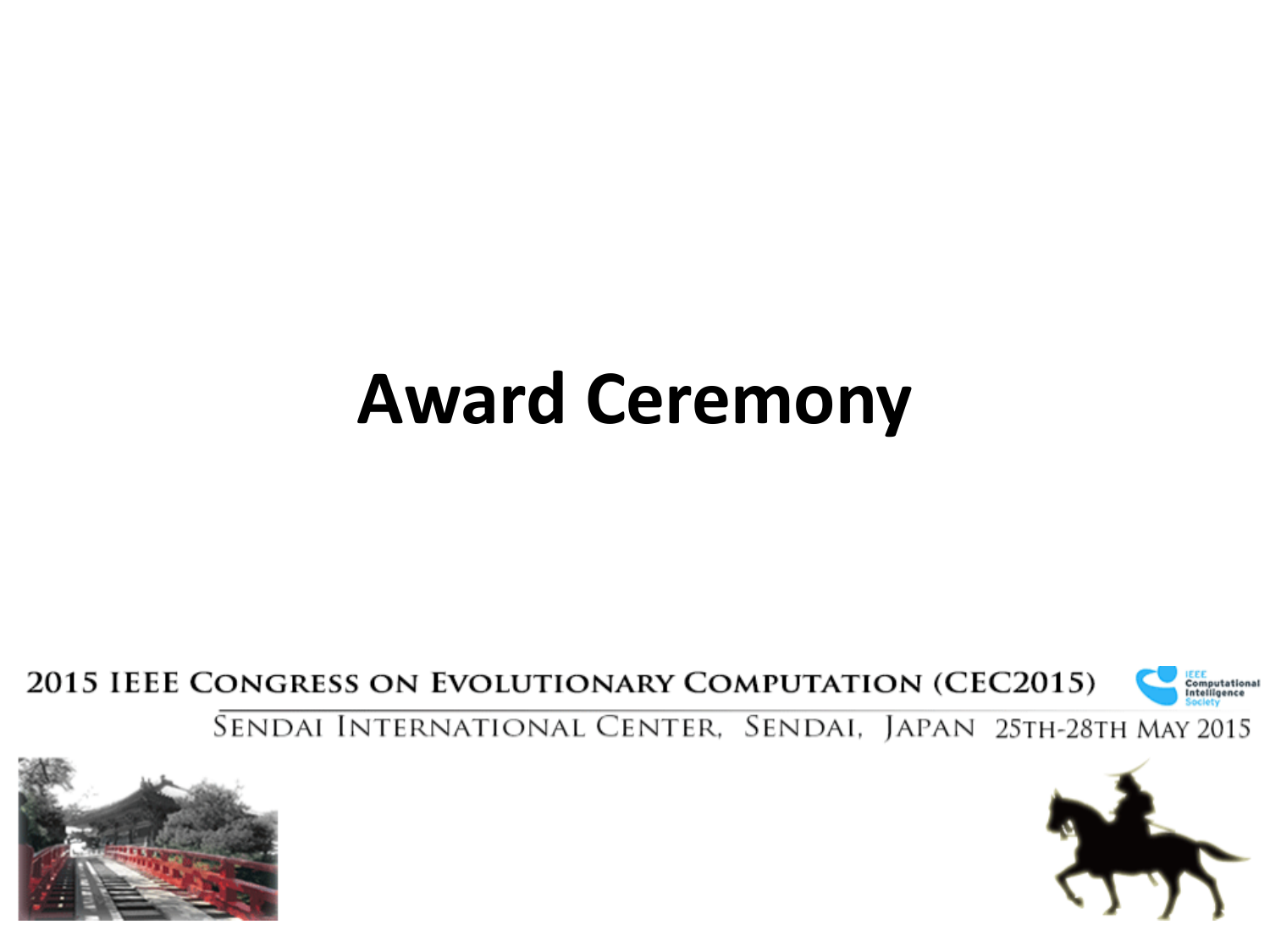#### **Award Ceremony**

2015 IEEE CONGRESS ON EVOLUTIONARY COMPUTATION (CEC2015)



SENDAI INTERNATIONAL CENTER, SENDAI, JAPAN 25TH-28TH MAY 2015



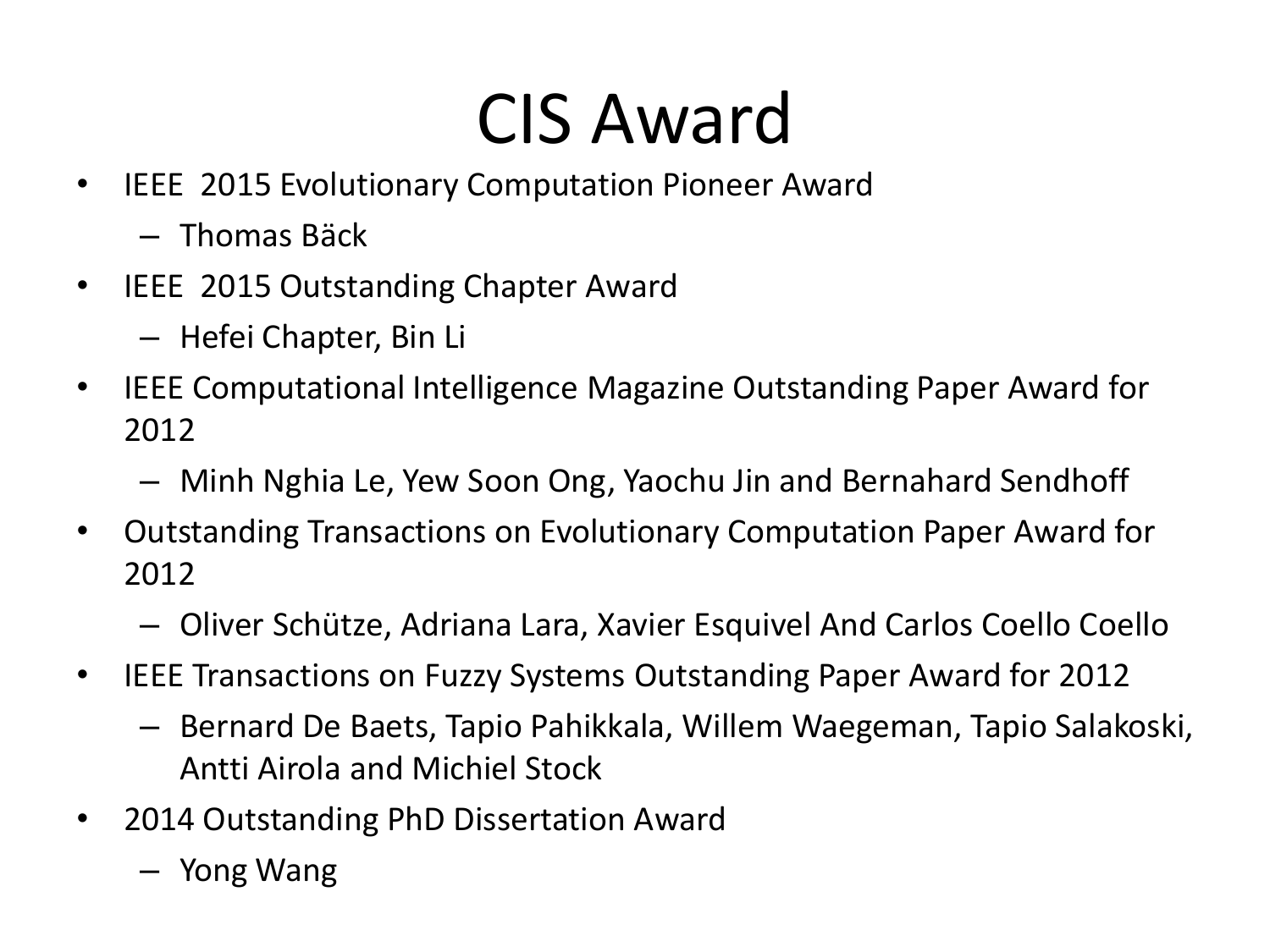## CIS Award

- IEEE 2015 Evolutionary Computation Pioneer Award
	- Thomas Bäck
- IEEE 2015 Outstanding Chapter Award
	- Hefei Chapter, Bin Li
- IEEE Computational Intelligence Magazine Outstanding Paper Award for 2012
	- Minh Nghia Le, Yew Soon Ong, Yaochu Jin and Bernahard Sendhoff
- Outstanding Transactions on Evolutionary Computation Paper Award for 2012
	- Oliver Schütze, Adriana Lara, Xavier Esquivel And Carlos Coello Coello
- IEEE Transactions on Fuzzy Systems Outstanding Paper Award for 2012
	- Bernard De Baets, Tapio Pahikkala, Willem Waegeman, Tapio Salakoski, Antti Airola and Michiel Stock
- 2014 Outstanding PhD Dissertation Award
	- Yong Wang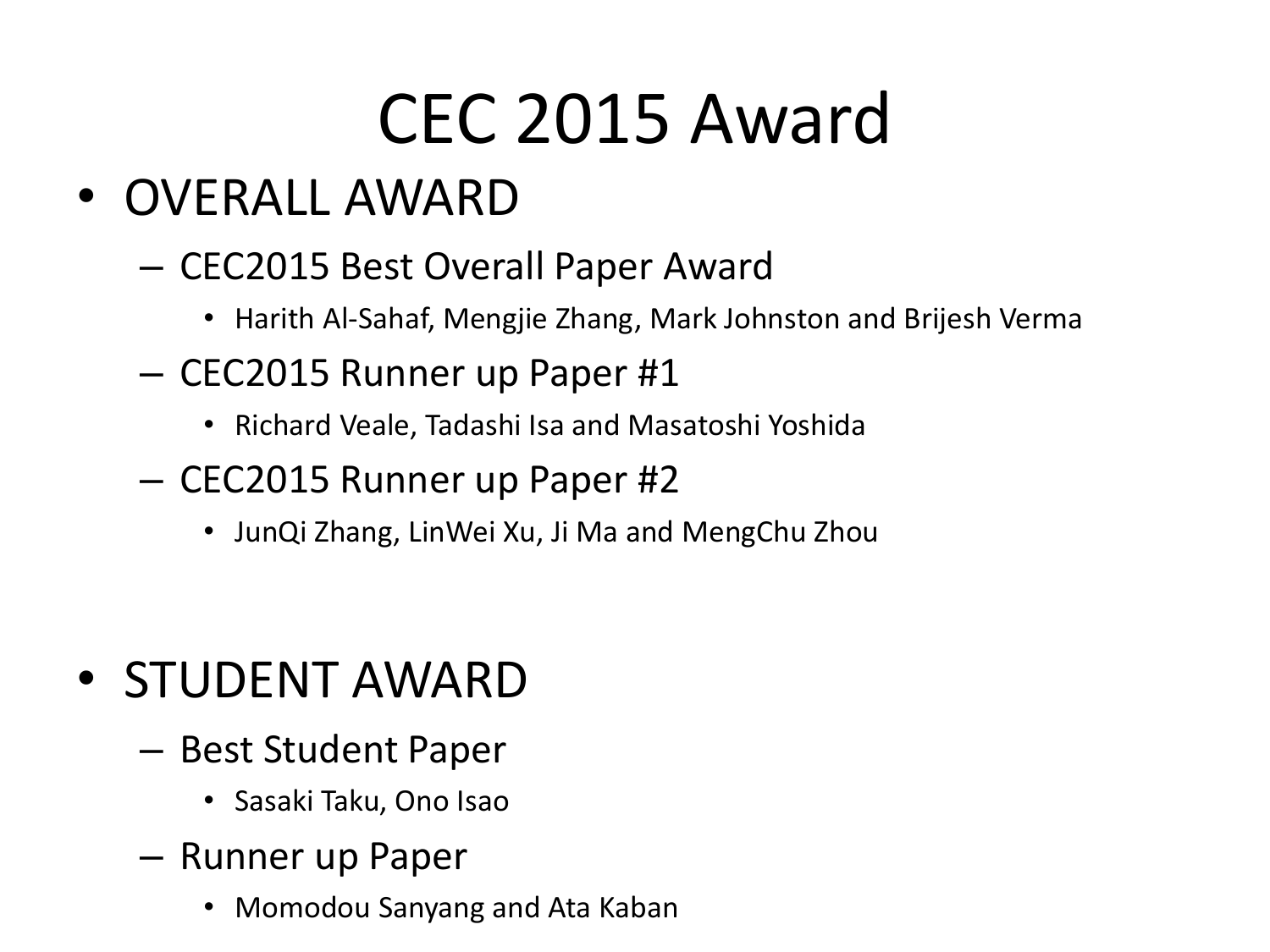### CEC 2015 Award

- OVERALL AWARD
	- CEC2015 Best Overall Paper Award
		- Harith Al-Sahaf, Mengjie Zhang, Mark Johnston and Brijesh Verma
	- CEC2015 Runner up Paper #1
		- Richard Veale, Tadashi Isa and Masatoshi Yoshida
	- CEC2015 Runner up Paper #2
		- JunQi Zhang, LinWei Xu, Ji Ma and MengChu Zhou

- STUDENT AWARD
	- Best Student Paper
		- Sasaki Taku, Ono Isao
	- Runner up Paper
		- Momodou Sanyang and Ata Kaban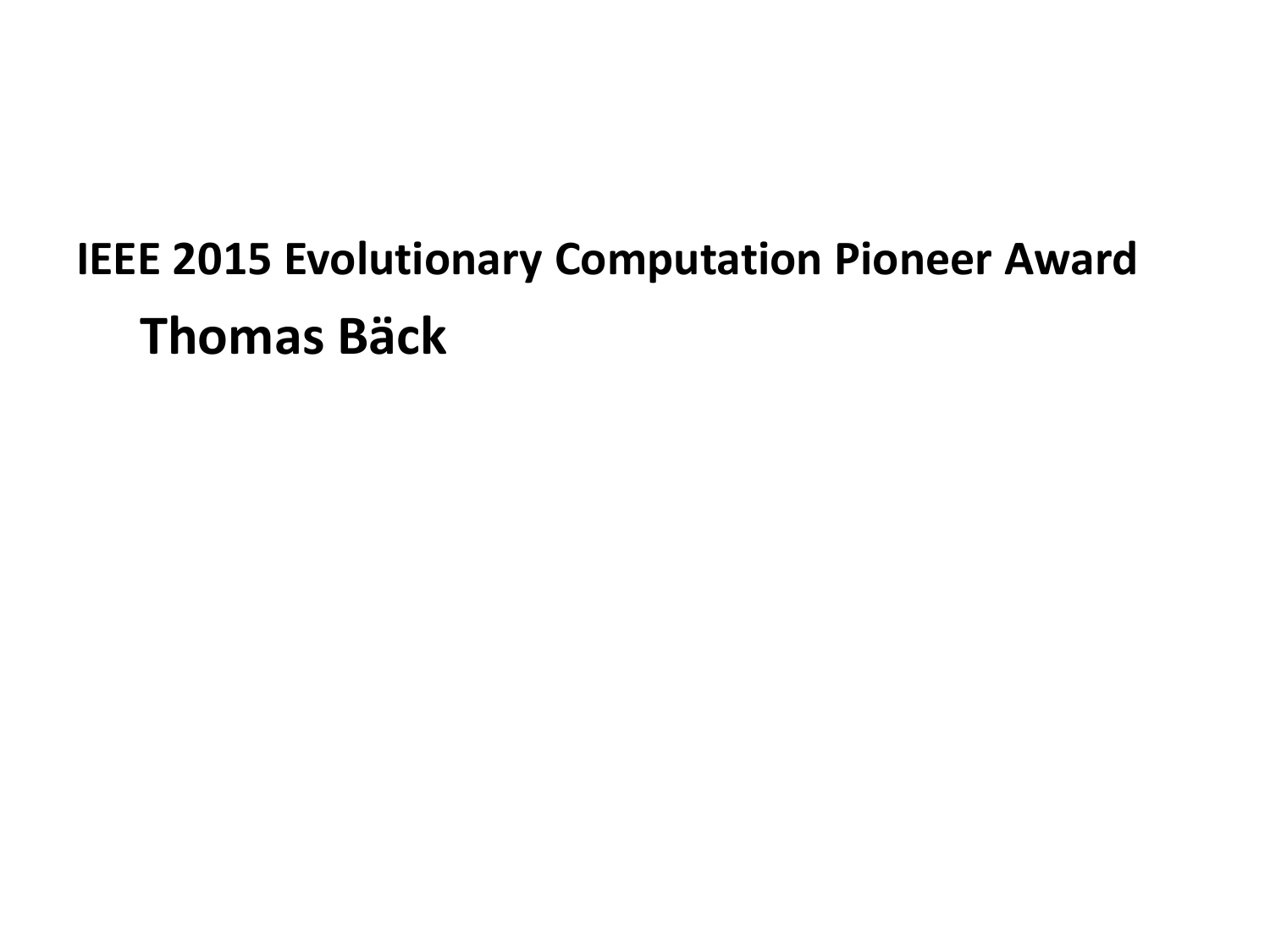#### **IEEE 2015 Evolutionary Computation Pioneer Award Thomas Bäck**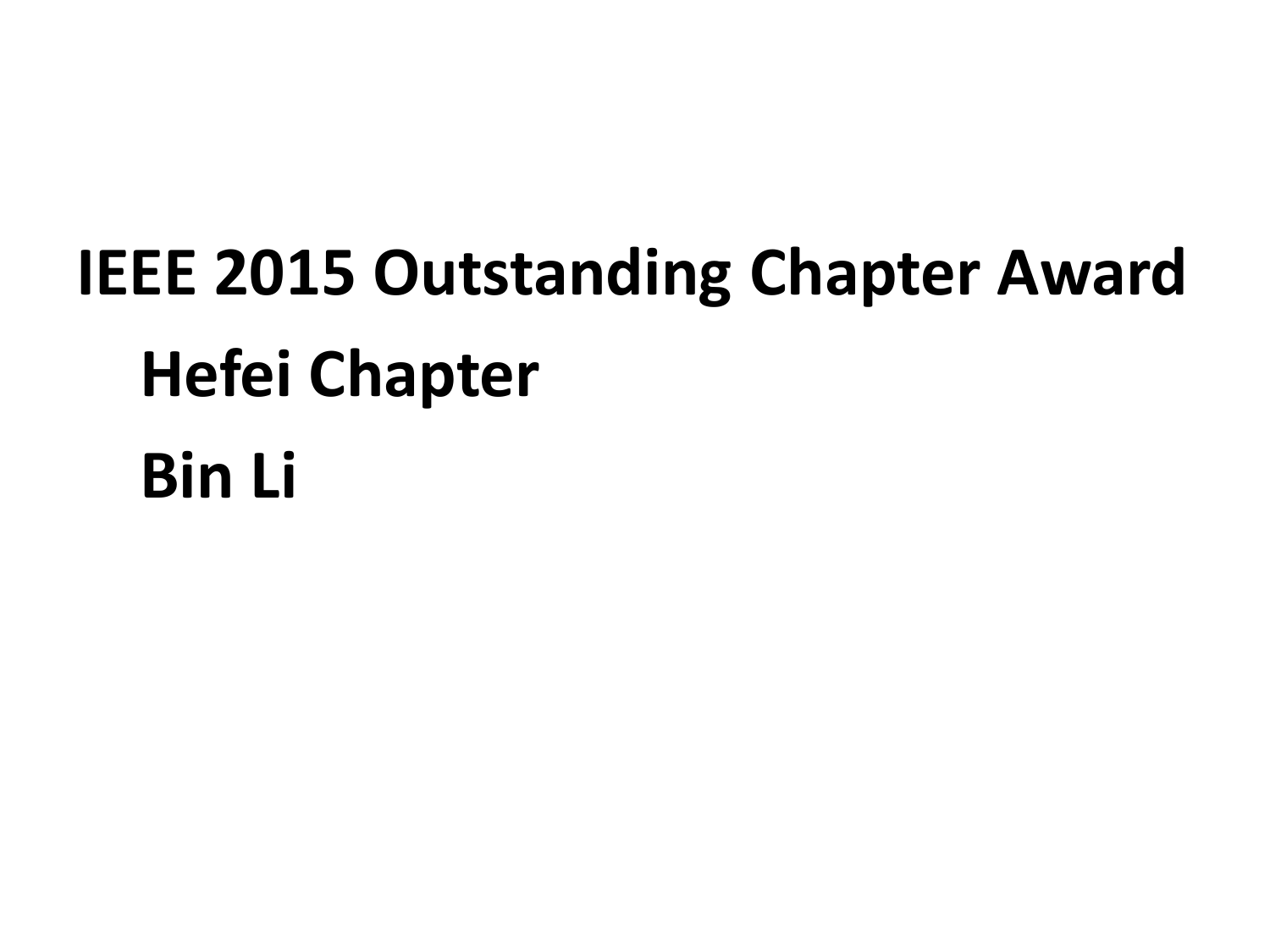# **IEEE 2015 Outstanding Chapter Award Hefei Chapter Bin Li**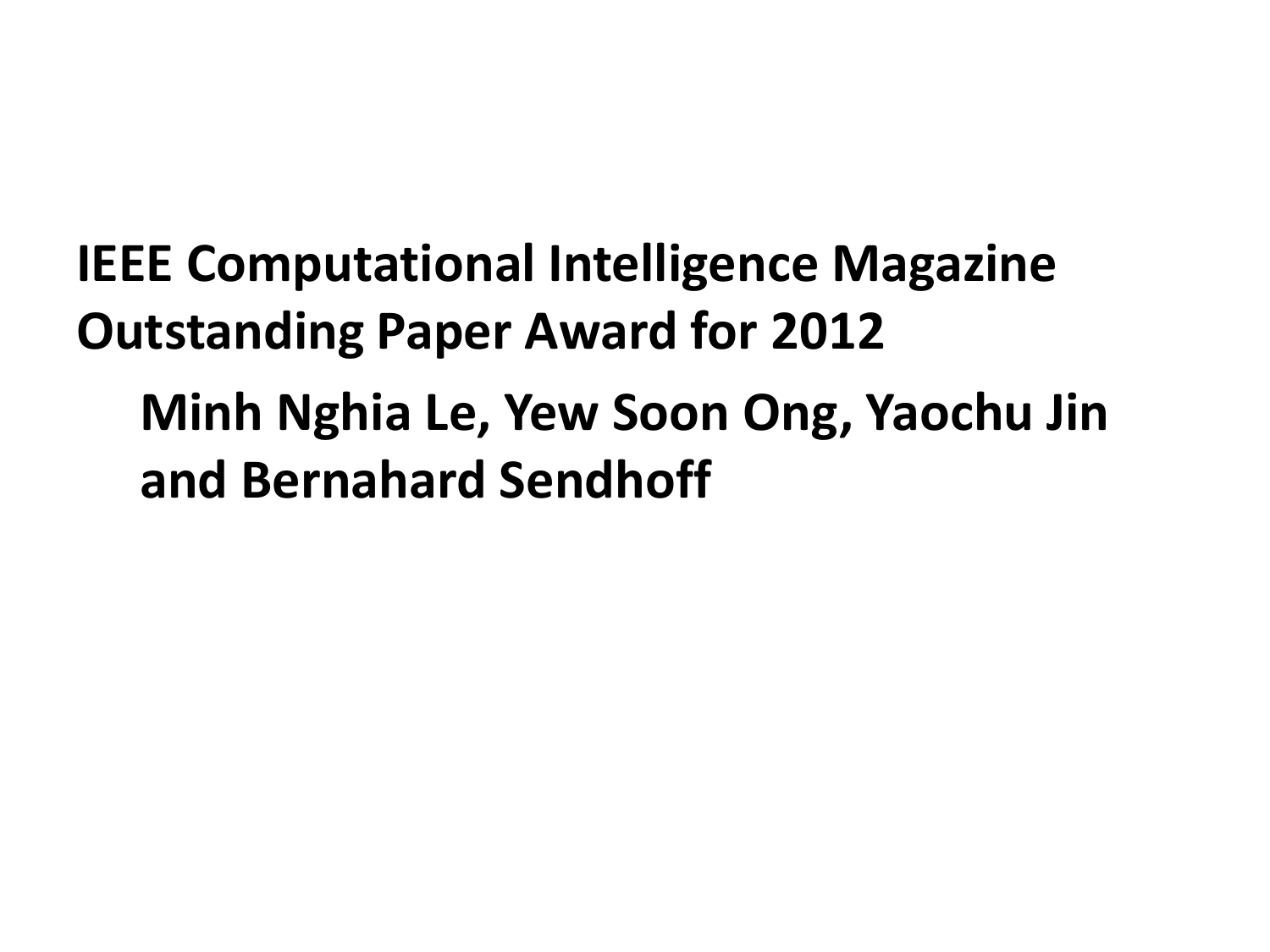**IEEE Computational Intelligence Magazine Outstanding Paper Award for 2012 Minh Nghia Le, Yew Soon Ong, Yaochu Jin and Bernahard Sendhoff**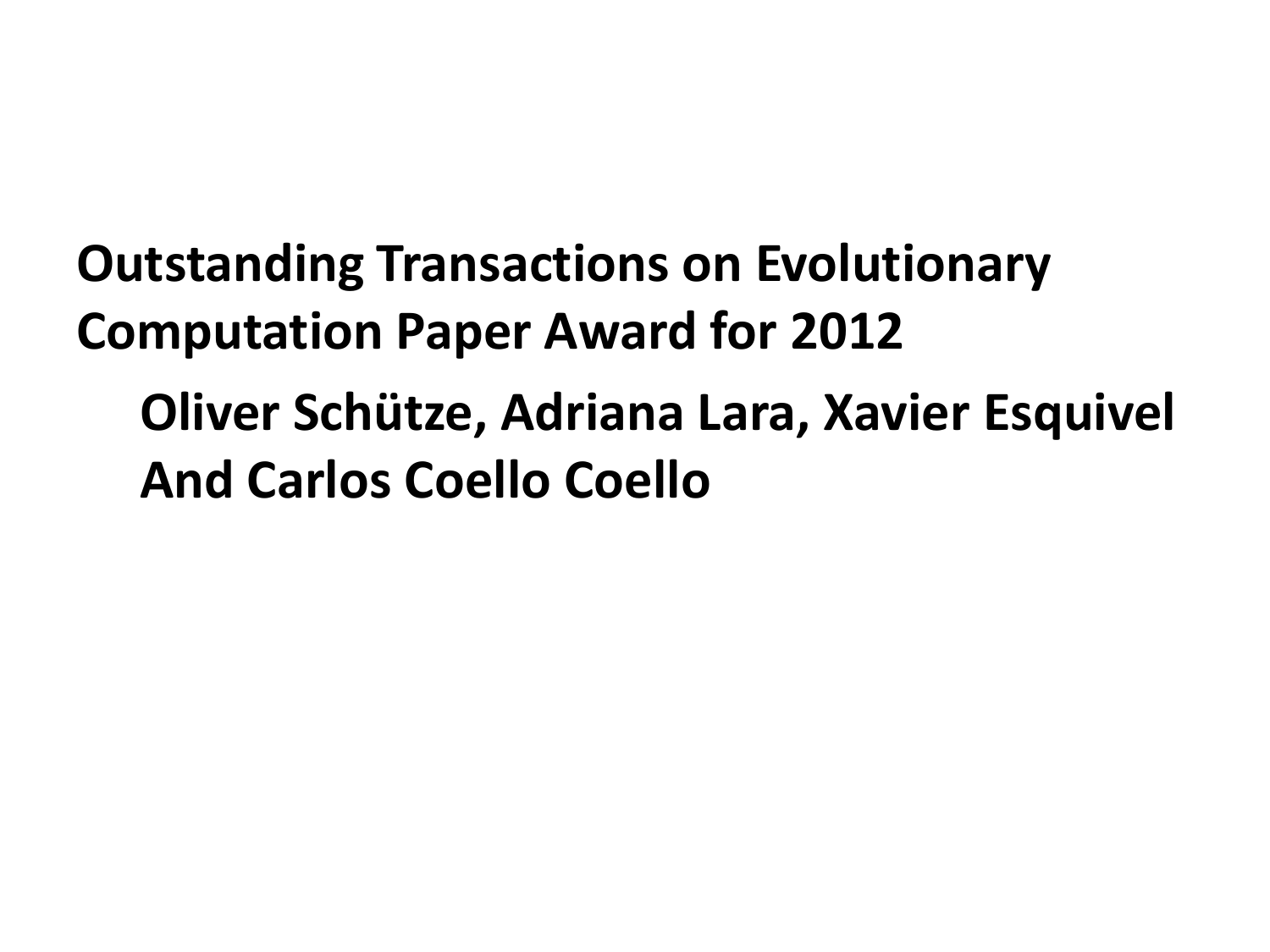**Outstanding Transactions on Evolutionary Computation Paper Award for 2012 Oliver Schütze, Adriana Lara, Xavier Esquivel And Carlos Coello Coello**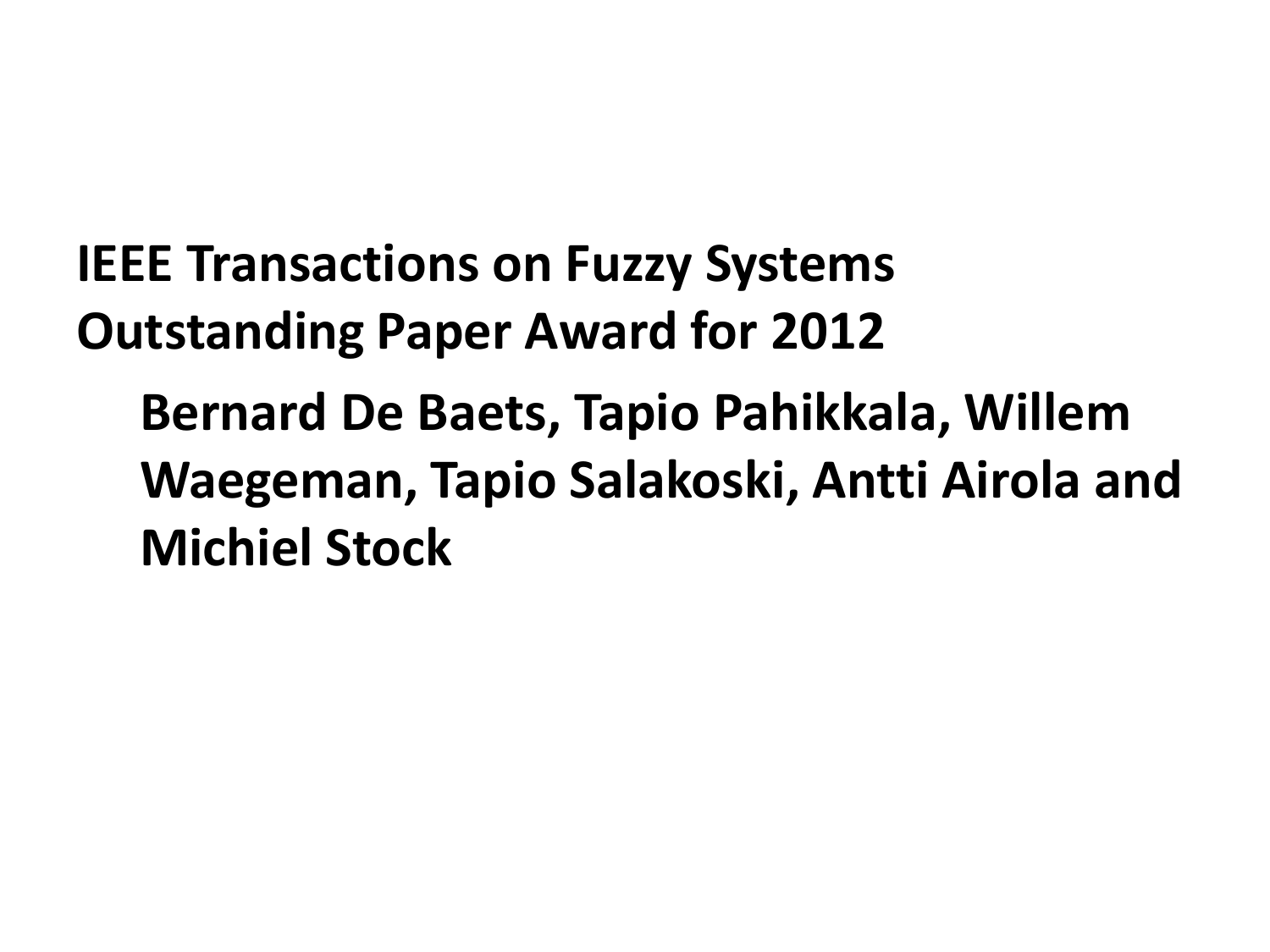**IEEE Transactions on Fuzzy Systems Outstanding Paper Award for 2012 Bernard De Baets, Tapio Pahikkala, Willem Waegeman, Tapio Salakoski, Antti Airola and Michiel Stock**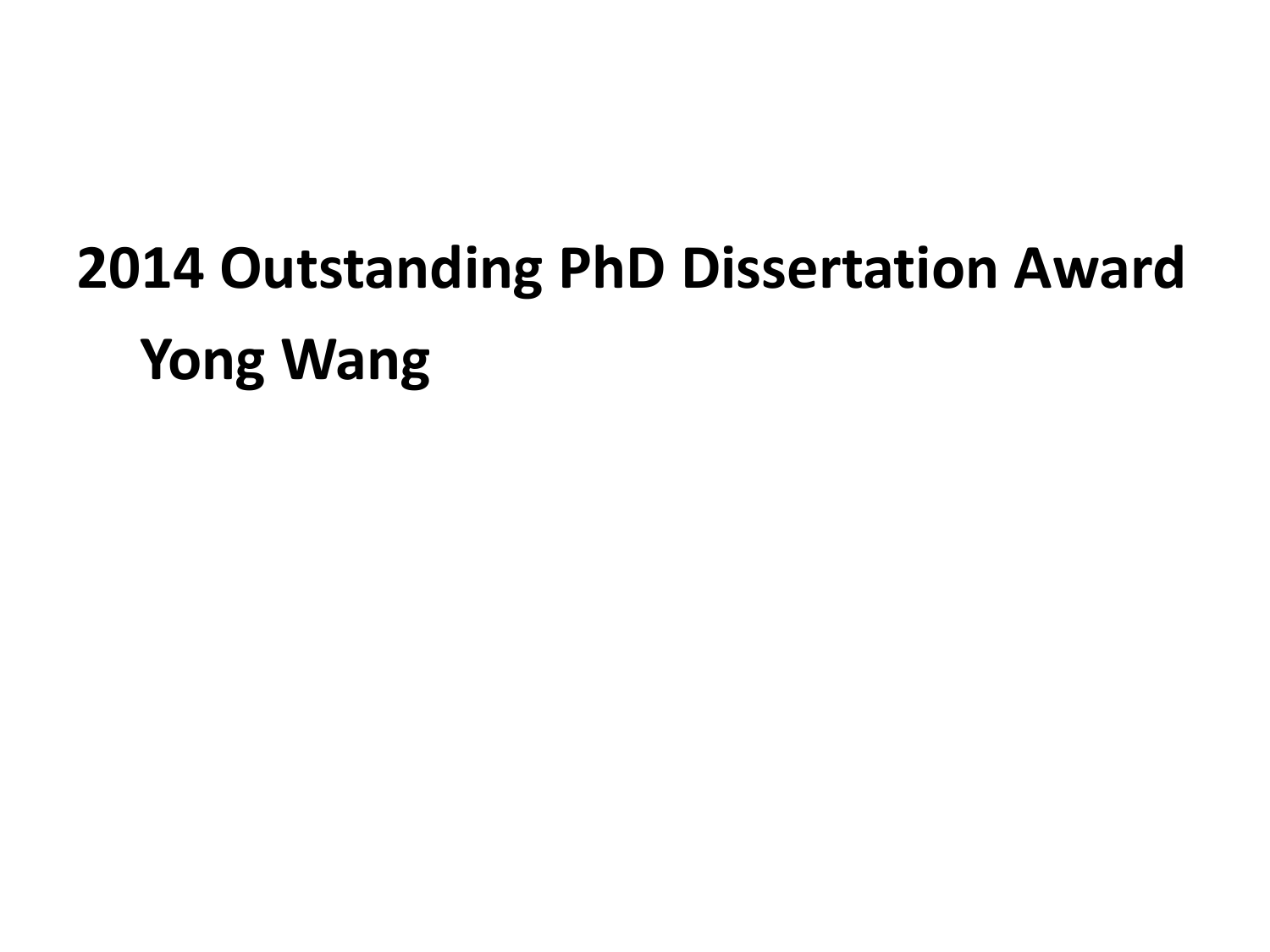## **2014 Outstanding PhD Dissertation Award Yong Wang**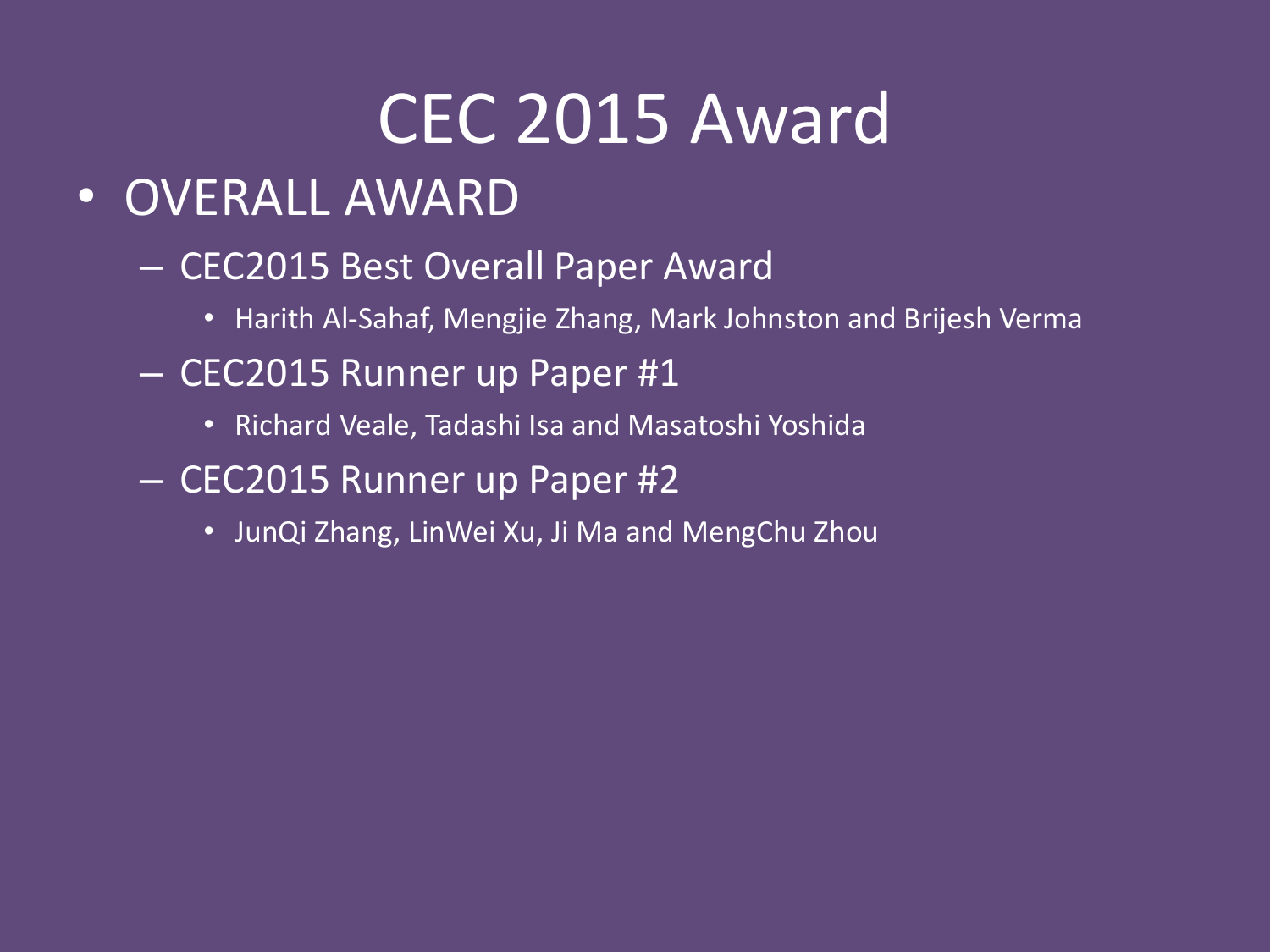#### CEC 2015 Award

- OVERALL AWARD
	- CEC2015 Best Overall Paper Award
		- Harith Al-Sahaf, Mengjie Zhang, Mark Johnston and Brijesh Verma
	- CEC2015 Runner up Paper #1
		- Richard Veale, Tadashi Isa and Masatoshi Yoshida
	- CEC2015 Runner up Paper #2
		- JunQi Zhang, LinWei Xu, Ji Ma and MengChu Zhou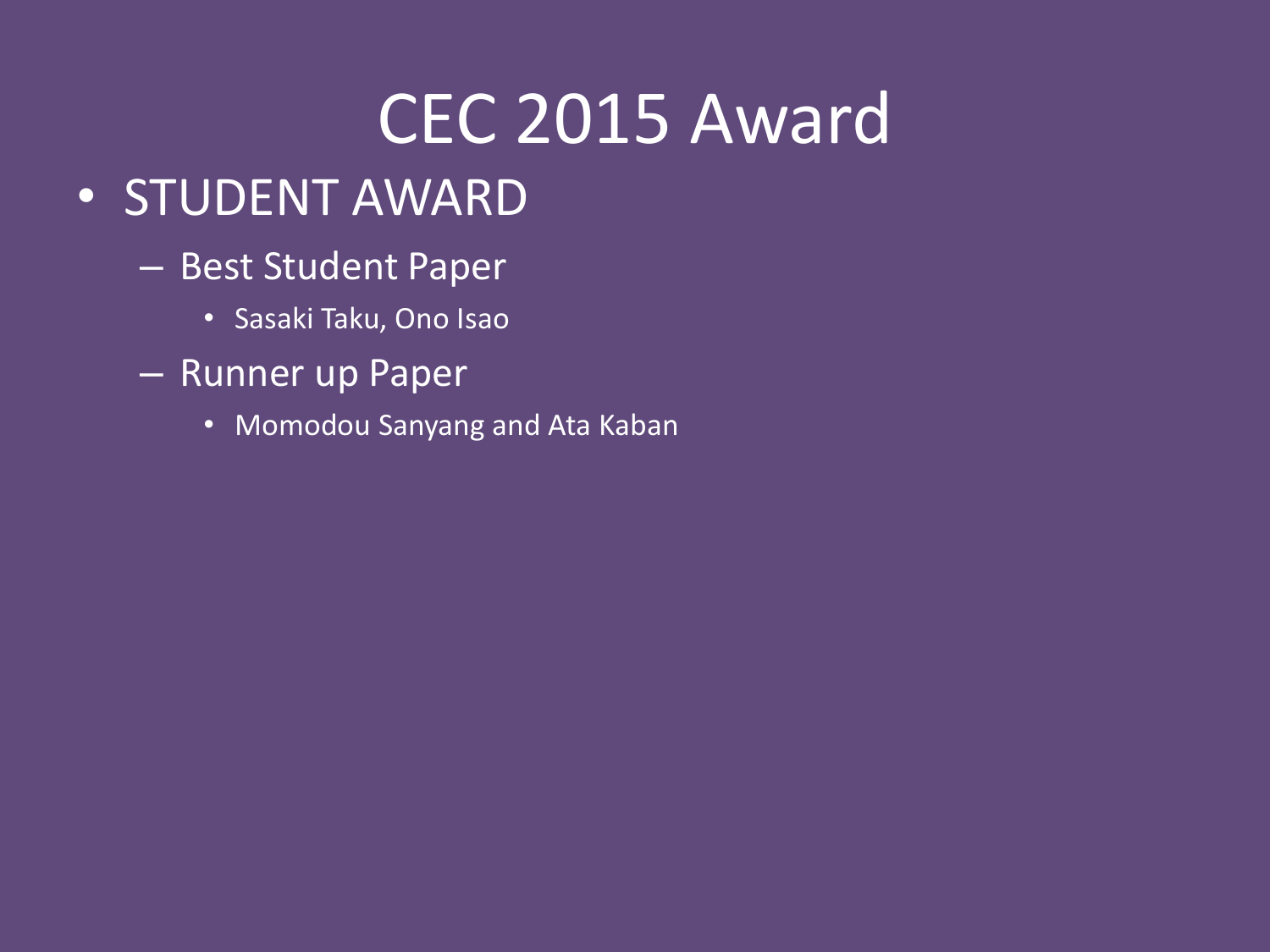#### CEC 2015 Award

- STUDENT AWARD
	- Best Student Paper
		- Sasaki Taku, Ono Isao
	- Runner up Paper
		- Momodou Sanyang and Ata Kaban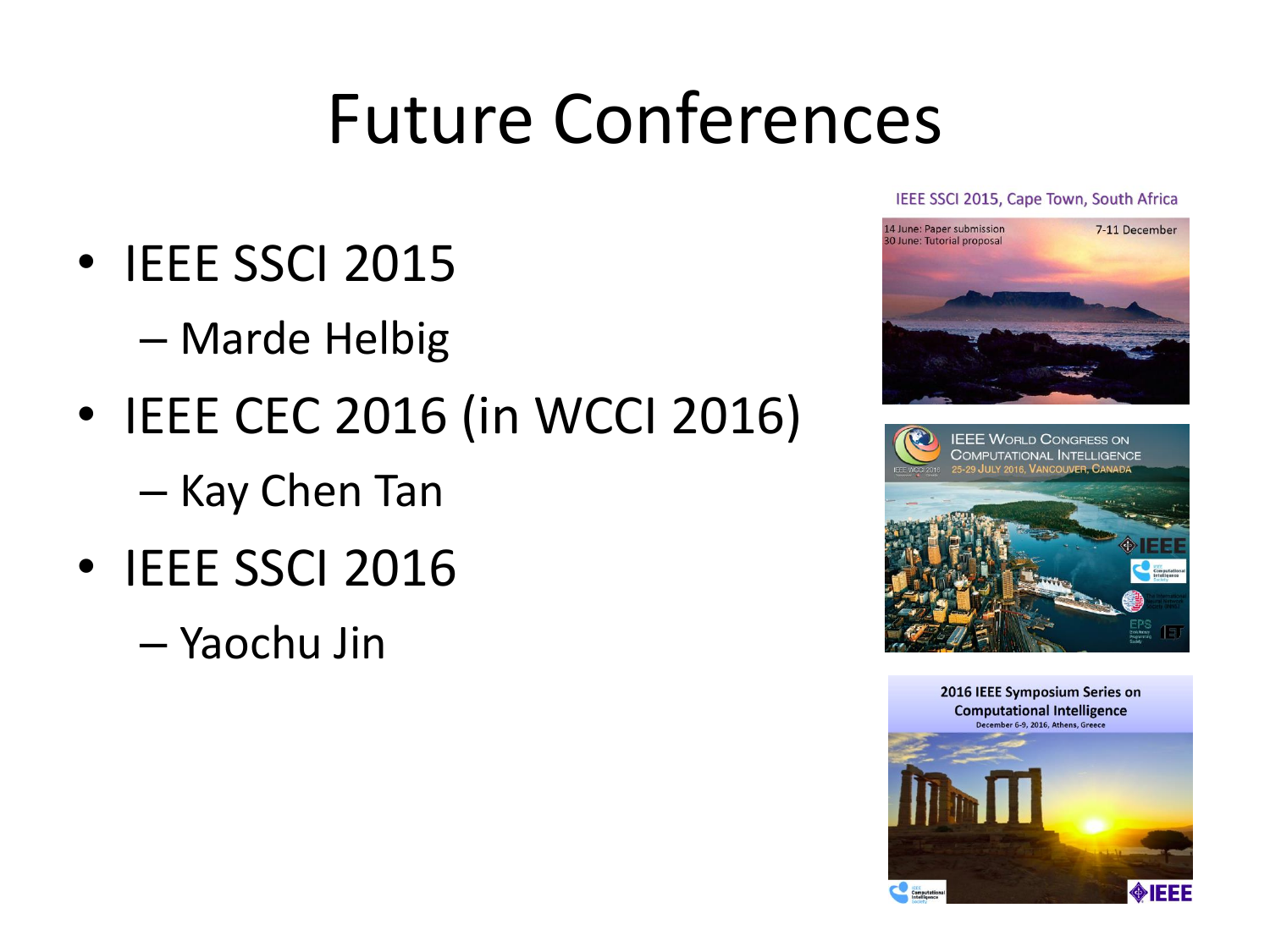#### Future Conferences

- IEEE SSCI 2015
	- Marde Helbig
- IEEE CEC 2016 (in WCCI 2016)
	- Kay Chen Tan
- IEEE SSCI 2016
	- Yaochu Jin